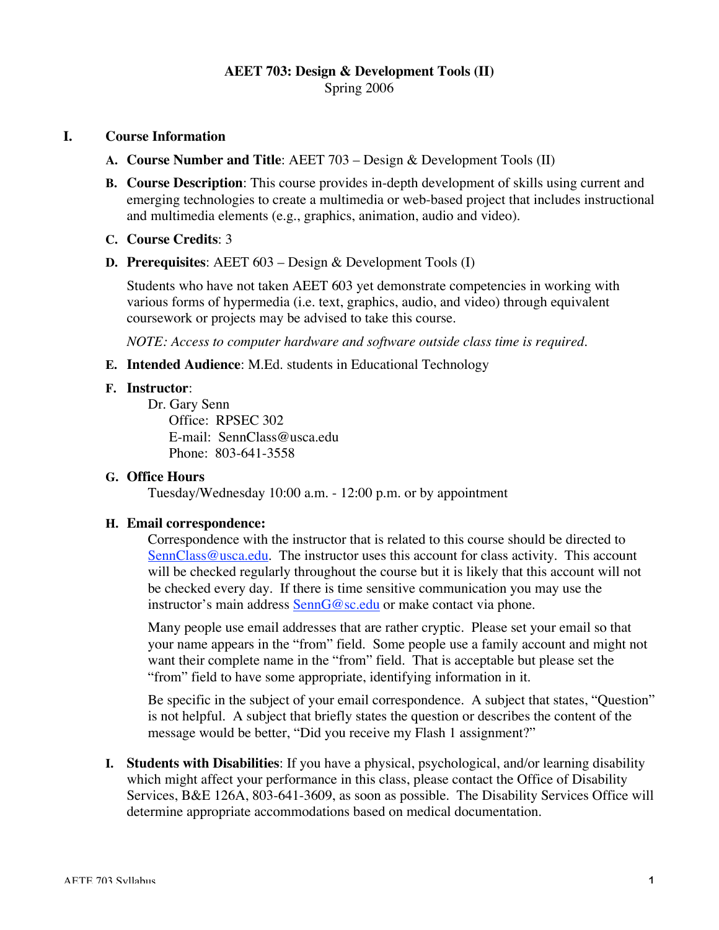## **AEET 703: Design & Development Tools (II)** Spring 2006

### **I. Course Information**

- **A. Course Number and Title**: AEET 703 Design & Development Tools (II)
- **B. Course Description**: This course provides in-depth development of skills using current and emerging technologies to create a multimedia or web-based project that includes instructional and multimedia elements (e.g., graphics, animation, audio and video).
- **C. Course Credits**: 3
- **D. Prerequisites**: AEET 603 Design & Development Tools (I)

Students who have not taken AEET 603 yet demonstrate competencies in working with various forms of hypermedia (i.e. text, graphics, audio, and video) through equivalent coursework or projects may be advised to take this course.

*NOTE: Access to computer hardware and software outside class time is required.*

**E. Intended Audience**: M.Ed. students in Educational Technology

#### **F. Instructor**:

Dr. Gary Senn Office: RPSEC 302 E-mail: SennClass@usca.edu Phone: 803-641-3558

#### **G. Office Hours**

Tuesday/Wednesday 10:00 a.m. - 12:00 p.m. or by appointment

#### **H. Email correspondence:**

Correspondence with the instructor that is related to this course should be directed to SennClass@usca.edu. The instructor uses this account for class activity. This account will be checked regularly throughout the course but it is likely that this account will not be checked every day. If there is time sensitive communication you may use the instructor's main address SennG@sc.edu or make contact via phone.

Many people use email addresses that are rather cryptic. Please set your email so that your name appears in the "from" field. Some people use a family account and might not want their complete name in the "from" field. That is acceptable but please set the "from" field to have some appropriate, identifying information in it.

Be specific in the subject of your email correspondence. A subject that states, "Question" is not helpful. A subject that briefly states the question or describes the content of the message would be better, "Did you receive my Flash 1 assignment?"

**I. Students with Disabilities**: If you have a physical, psychological, and/or learning disability which might affect your performance in this class, please contact the Office of Disability Services, B&E 126A, 803-641-3609, as soon as possible. The Disability Services Office will determine appropriate accommodations based on medical documentation.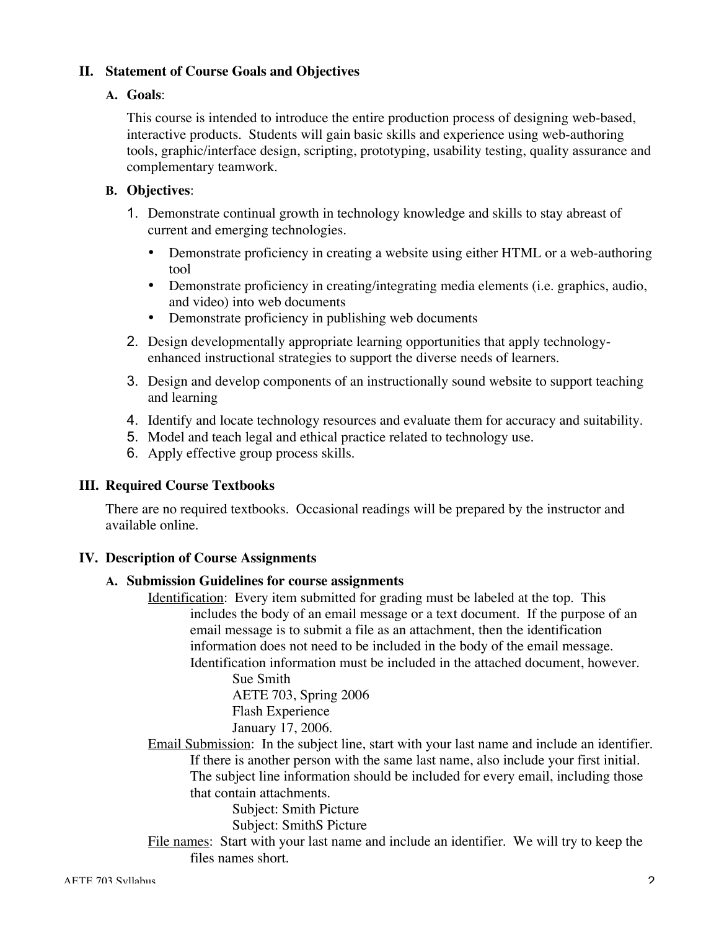# **II. Statement of Course Goals and Objectives**

## **A. Goals**:

This course is intended to introduce the entire production process of designing web-based, interactive products. Students will gain basic skills and experience using web-authoring tools, graphic/interface design, scripting, prototyping, usability testing, quality assurance and complementary teamwork.

# **B. Objectives**:

- 1. Demonstrate continual growth in technology knowledge and skills to stay abreast of current and emerging technologies.
	- Demonstrate proficiency in creating a website using either HTML or a web-authoring tool
	- Demonstrate proficiency in creating/integrating media elements (i.e. graphics, audio, and video) into web documents
	- Demonstrate proficiency in publishing web documents
- 2. Design developmentally appropriate learning opportunities that apply technologyenhanced instructional strategies to support the diverse needs of learners.
- 3. Design and develop components of an instructionally sound website to support teaching and learning
- 4. Identify and locate technology resources and evaluate them for accuracy and suitability.
- 5. Model and teach legal and ethical practice related to technology use.
- 6. Apply effective group process skills.

## **III. Required Course Textbooks**

There are no required textbooks. Occasional readings will be prepared by the instructor and available online.

## **IV. Description of Course Assignments**

## **A. Submission Guidelines for course assignments**

Identification: Every item submitted for grading must be labeled at the top. This includes the body of an email message or a text document. If the purpose of an email message is to submit a file as an attachment, then the identification information does not need to be included in the body of the email message. Identification information must be included in the attached document, however.

> Sue Smith AETE 703, Spring 2006 Flash Experience January 17, 2006.

Email Submission: In the subject line, start with your last name and include an identifier. If there is another person with the same last name, also include your first initial. The subject line information should be included for every email, including those that contain attachments.

Subject: Smith Picture

Subject: SmithS Picture

File names: Start with your last name and include an identifier. We will try to keep the files names short.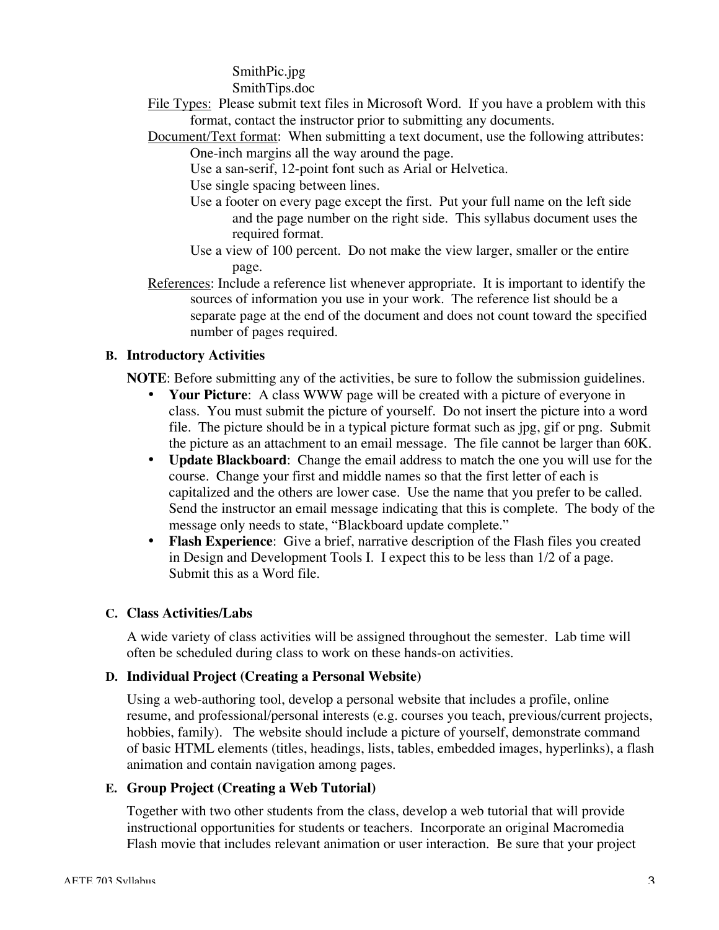SmithPic.jpg

SmithTips.doc

- File Types: Please submit text files in Microsoft Word. If you have a problem with this format, contact the instructor prior to submitting any documents.
- Document/Text format: When submitting a text document, use the following attributes: One-inch margins all the way around the page.
	- Use a san-serif, 12-point font such as Arial or Helvetica.
	- Use single spacing between lines.
	- Use a footer on every page except the first. Put your full name on the left side and the page number on the right side. This syllabus document uses the required format.
	- Use a view of 100 percent. Do not make the view larger, smaller or the entire page.
- References: Include a reference list whenever appropriate. It is important to identify the sources of information you use in your work. The reference list should be a separate page at the end of the document and does not count toward the specified number of pages required.

# **B. Introductory Activities**

**NOTE**: Before submitting any of the activities, be sure to follow the submission guidelines.

- **Your Picture**: A class WWW page will be created with a picture of everyone in class. You must submit the picture of yourself. Do not insert the picture into a word file. The picture should be in a typical picture format such as jpg, gif or png. Submit the picture as an attachment to an email message. The file cannot be larger than 60K.
- **Update Blackboard**: Change the email address to match the one you will use for the course. Change your first and middle names so that the first letter of each is capitalized and the others are lower case. Use the name that you prefer to be called. Send the instructor an email message indicating that this is complete. The body of the message only needs to state, "Blackboard update complete."
- **Flash Experience**: Give a brief, narrative description of the Flash files you created in Design and Development Tools I. I expect this to be less than 1/2 of a page. Submit this as a Word file.

# **C. Class Activities/Labs**

A wide variety of class activities will be assigned throughout the semester. Lab time will often be scheduled during class to work on these hands-on activities.

# **D. Individual Project (Creating a Personal Website)**

Using a web-authoring tool, develop a personal website that includes a profile, online resume, and professional/personal interests (e.g. courses you teach, previous/current projects, hobbies, family). The website should include a picture of yourself, demonstrate command of basic HTML elements (titles, headings, lists, tables, embedded images, hyperlinks), a flash animation and contain navigation among pages.

# **E. Group Project (Creating a Web Tutorial)**

Together with two other students from the class, develop a web tutorial that will provide instructional opportunities for students or teachers. Incorporate an original Macromedia Flash movie that includes relevant animation or user interaction. Be sure that your project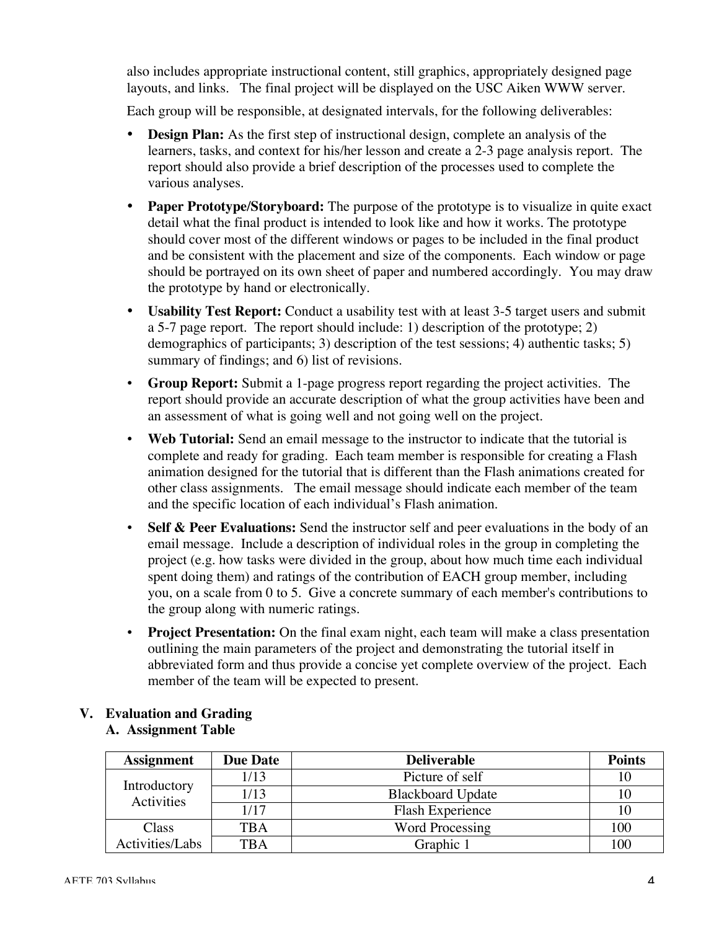also includes appropriate instructional content, still graphics, appropriately designed page layouts, and links. The final project will be displayed on the USC Aiken WWW server.

Each group will be responsible, at designated intervals, for the following deliverables:

- **Design Plan:** As the first step of instructional design, complete an analysis of the learners, tasks, and context for his/her lesson and create a 2-3 page analysis report. The report should also provide a brief description of the processes used to complete the various analyses.
- **Paper Prototype/Storyboard:** The purpose of the prototype is to visualize in quite exact detail what the final product is intended to look like and how it works. The prototype should cover most of the different windows or pages to be included in the final product and be consistent with the placement and size of the components. Each window or page should be portrayed on its own sheet of paper and numbered accordingly. You may draw the prototype by hand or electronically.
- **Usability Test Report:** Conduct a usability test with at least 3-5 target users and submit a 5-7 page report. The report should include: 1) description of the prototype; 2) demographics of participants; 3) description of the test sessions; 4) authentic tasks; 5) summary of findings; and 6) list of revisions.
- **Group Report:** Submit a 1-page progress report regarding the project activities. The report should provide an accurate description of what the group activities have been and an assessment of what is going well and not going well on the project.
- **Web Tutorial:** Send an email message to the instructor to indicate that the tutorial is complete and ready for grading. Each team member is responsible for creating a Flash animation designed for the tutorial that is different than the Flash animations created for other class assignments. The email message should indicate each member of the team and the specific location of each individual's Flash animation.
- **Self & Peer Evaluations:** Send the instructor self and peer evaluations in the body of an email message. Include a description of individual roles in the group in completing the project (e.g. how tasks were divided in the group, about how much time each individual spent doing them) and ratings of the contribution of EACH group member, including you, on a scale from 0 to 5. Give a concrete summary of each member's contributions to the group along with numeric ratings.
- **Project Presentation:** On the final exam night, each team will make a class presentation outlining the main parameters of the project and demonstrating the tutorial itself in abbreviated form and thus provide a concise yet complete overview of the project. Each member of the team will be expected to present.

#### **V. Evaluation and Grading A. Assignment Table**

| <b>Assignment</b>          | <b>Due Date</b> | <b>Deliverable</b>       | <b>Points</b> |
|----------------------------|-----------------|--------------------------|---------------|
| Introductory<br>Activities | 1/13            | Picture of self          |               |
|                            | 1/13            | <b>Blackboard Update</b> |               |
|                            | 1/17            | <b>Flash Experience</b>  |               |
| Class                      | <b>TBA</b>      | <b>Word Processing</b>   | 100           |
| Activities/Labs            | <b>TBA</b>      | Graphic 1                | 100           |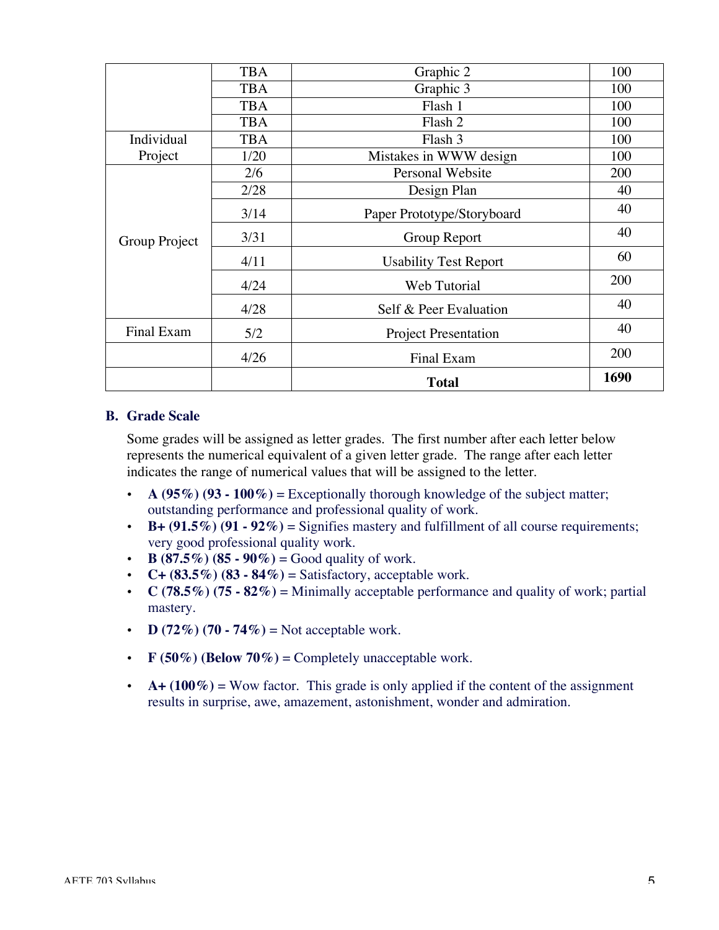|                   | <b>TBA</b> | Graphic 2                    | 100  |
|-------------------|------------|------------------------------|------|
|                   | <b>TBA</b> | Graphic $\overline{3}$       | 100  |
|                   | <b>TBA</b> | Flash 1                      | 100  |
|                   | <b>TBA</b> | Flash 2                      | 100  |
| Individual        | <b>TBA</b> | Flash 3                      | 100  |
| Project           | 1/20       | Mistakes in WWW design       | 100  |
| Group Project     | 2/6        | Personal Website             | 200  |
|                   | 2/28       | Design Plan                  | 40   |
|                   | 3/14       | Paper Prototype/Storyboard   | 40   |
|                   | 3/31       | Group Report                 | 40   |
|                   | 4/11       | <b>Usability Test Report</b> | 60   |
|                   | 4/24       | Web Tutorial                 | 200  |
|                   | 4/28       | Self & Peer Evaluation       | 40   |
| <b>Final Exam</b> | 5/2        | <b>Project Presentation</b>  | 40   |
|                   | 4/26       | Final Exam                   | 200  |
|                   |            | <b>Total</b>                 | 1690 |

#### **B. Grade Scale**

Some grades will be assigned as letter grades. The first number after each letter below represents the numerical equivalent of a given letter grade. The range after each letter indicates the range of numerical values that will be assigned to the letter.

- **A (95%) (93 100%)** = Exceptionally thorough knowledge of the subject matter; outstanding performance and professional quality of work.
- $\cdot$  **B**+ (91.5%) (91 92%) = Signifies mastery and fulfillment of all course requirements; very good professional quality work.
- **B** (87.5%) (85 90%) = Good quality of work.
- **C+ (83.5%) (83 84%)** = Satisfactory, acceptable work.
- **C** (78.5%) (75 82%) = Minimally acceptable performance and quality of work; partial mastery.
- **D** (72%) (70 74%) = Not acceptable work.
- **F** (50%) (Below 70%) = Completely unacceptable work.
- $A + (100\%) =$  Wow factor. This grade is only applied if the content of the assignment results in surprise, awe, amazement, astonishment, wonder and admiration.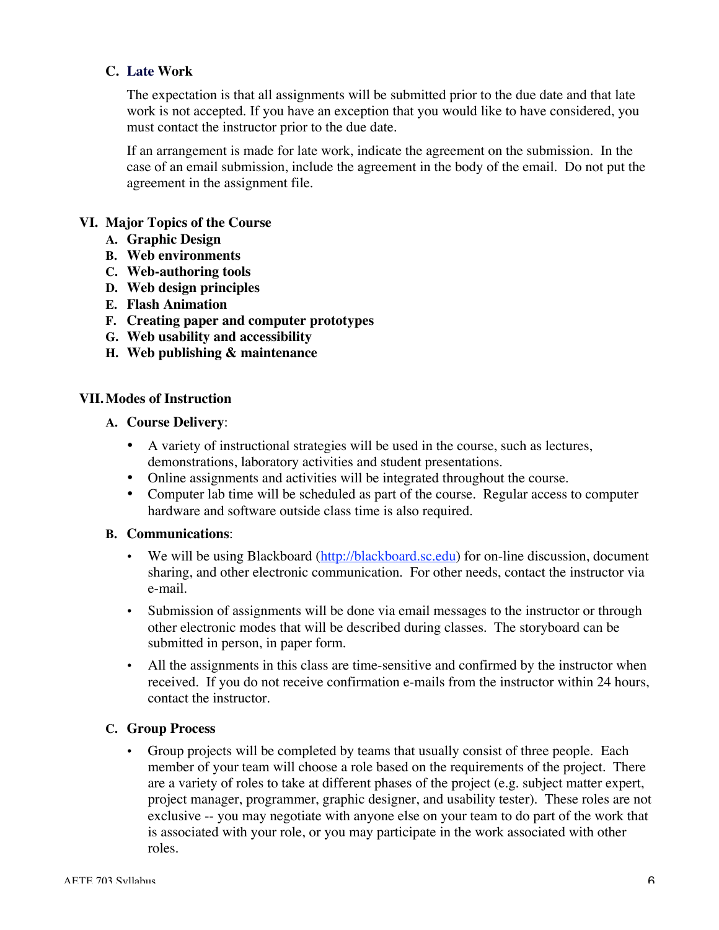# **C. Late Work**

The expectation is that all assignments will be submitted prior to the due date and that late work is not accepted. If you have an exception that you would like to have considered, you must contact the instructor prior to the due date.

If an arrangement is made for late work, indicate the agreement on the submission. In the case of an email submission, include the agreement in the body of the email. Do not put the agreement in the assignment file.

#### **VI. Major Topics of the Course**

- **A. Graphic Design**
- **B. Web environments**
- **C. Web-authoring tools**
- **D. Web design principles**
- **E. Flash Animation**
- **F. Creating paper and computer prototypes**
- **G. Web usability and accessibility**
- **H. Web publishing & maintenance**

#### **VII.Modes of Instruction**

- **A. Course Delivery**:
	- A variety of instructional strategies will be used in the course, such as lectures, demonstrations, laboratory activities and student presentations.
	- Online assignments and activities will be integrated throughout the course.
	- Computer lab time will be scheduled as part of the course. Regular access to computer hardware and software outside class time is also required.

#### **B. Communications**:

- We will be using Blackboard (http://blackboard.sc.edu) for on-line discussion, document sharing, and other electronic communication. For other needs, contact the instructor via e-mail.
- Submission of assignments will be done via email messages to the instructor or through other electronic modes that will be described during classes. The storyboard can be submitted in person, in paper form.
- All the assignments in this class are time-sensitive and confirmed by the instructor when received. If you do not receive confirmation e-mails from the instructor within 24 hours, contact the instructor.

## **C. Group Process**

• Group projects will be completed by teams that usually consist of three people. Each member of your team will choose a role based on the requirements of the project. There are a variety of roles to take at different phases of the project (e.g. subject matter expert, project manager, programmer, graphic designer, and usability tester). These roles are not exclusive -- you may negotiate with anyone else on your team to do part of the work that is associated with your role, or you may participate in the work associated with other roles.